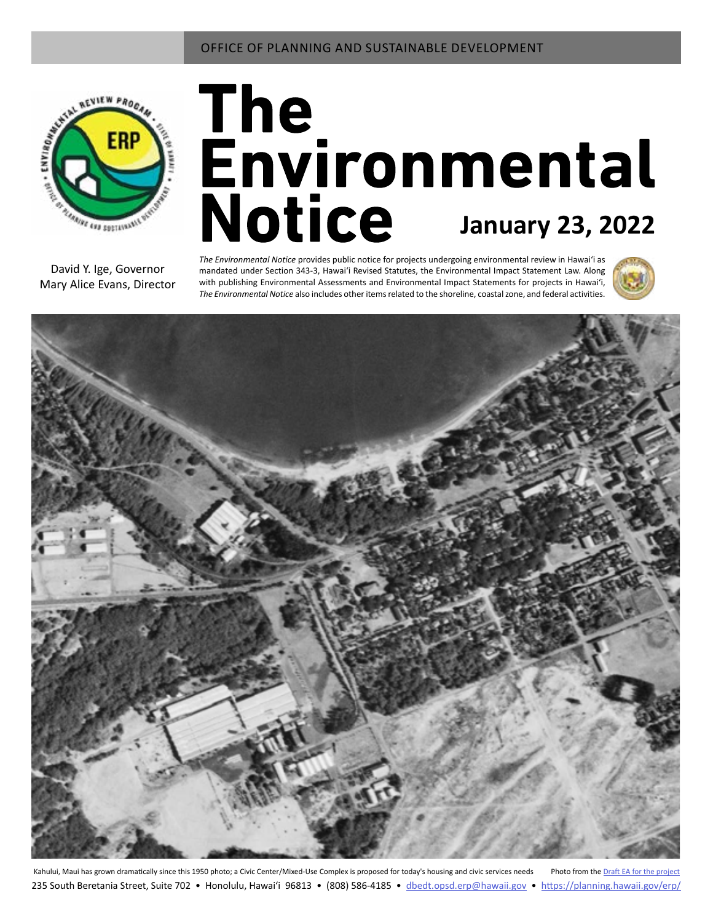

# The<br>Environmental **Notice** January 23, 2022

David Y. Ige, Governor Mary Alice Evans, Director *The Environmental Notice* provides public notice for projects undergoing environmental review in Hawaiʻi as mandated under Section 343-3, Hawaiʻi Revised Statutes, the Environmental Impact Statement Law. Along with publishing Environmental Assessments and Environmental Impact Statements for projects in Hawai'i, *The Environmental Notice* also includes other items related to the shoreline, coastal zone, and federal activities.





Kahului, Maui has grown dramatically since this 1950 photo; a Civic Center/Mixed-Use Complex is proposed for today's housing and civic services needs Photo from the Draft EA for the pro 235 South Beretania Street, Suite 702 • Honolulu, Hawai'i 96813 • (808) 586-4185 • dbedt.opsd.erp[@hawaii.gov](mailto:dbedt.opsd.erp%40hawaii.gov?subject=) • <https://planning.hawaii.gov/erp/>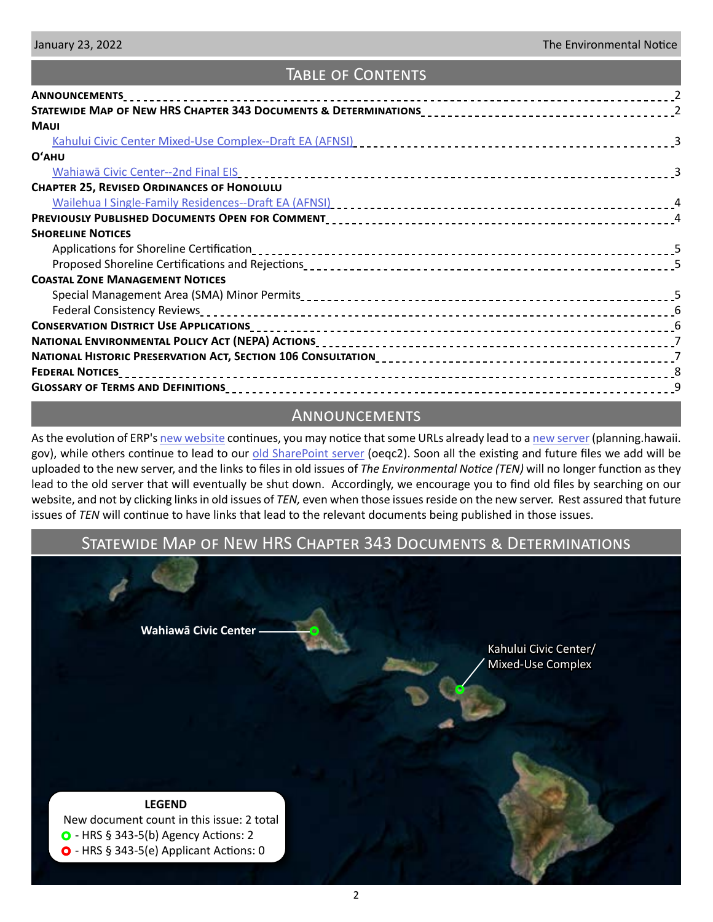# Table of Contents

| <b>ANNOUNCEMENTS</b>                                                                                                                                                                                                           |  |
|--------------------------------------------------------------------------------------------------------------------------------------------------------------------------------------------------------------------------------|--|
|                                                                                                                                                                                                                                |  |
| <b>MAUI</b>                                                                                                                                                                                                                    |  |
|                                                                                                                                                                                                                                |  |
| O'AHU                                                                                                                                                                                                                          |  |
| <u>Wahiawā Civic Center--2nd Final EIS entertainment control extensional statements</u>                                                                                                                                        |  |
| <b>CHAPTER 25, REVISED ORDINANCES OF HONOLULU</b>                                                                                                                                                                              |  |
| Wailehua I Single-Family Residences--Draft EA (AFNSI) [10] The contract of the contract of the state of the state of the state of the state of the state of the state of the state of the state of the state of the state of t |  |
|                                                                                                                                                                                                                                |  |
| <b>SHORELINE NOTICES</b>                                                                                                                                                                                                       |  |
|                                                                                                                                                                                                                                |  |
|                                                                                                                                                                                                                                |  |
| <b>COASTAL ZONE MANAGEMENT NOTICES</b>                                                                                                                                                                                         |  |
|                                                                                                                                                                                                                                |  |
|                                                                                                                                                                                                                                |  |
|                                                                                                                                                                                                                                |  |
|                                                                                                                                                                                                                                |  |
|                                                                                                                                                                                                                                |  |
| <b>FEDERAL NOTICES</b>                                                                                                                                                                                                         |  |
|                                                                                                                                                                                                                                |  |

# Announcements

As the evolution of ERP's [new website](https://planning.hawaii.gov/erp/) continues, you may notice that some URLs already lead to a [new server](https://planning.hawaii.gov/erp/ea-and-eis-old-rules/) (planning.hawaii. gov), while others continue to lead to our [old SharePoint server](http://oeqc2.doh.hawaii.gov/_layouts/15/start.aspx#/) (oeqc2). Soon all the existing and future files we add will be uploaded to the new server, and the links to files in old issues of *The Environmental Notice (TEN)* will no longer function as they lead to the old server that will eventually be shut down. Accordingly, we encourage you to find old files by searching on our website, and not by clicking links in old issues of *TEN,* even when those issues reside on the new server. Rest assured that future issues of *TEN* will continue to have links that lead to the relevant documents being published in those issues.

# Statewide Map of New HRS Chapter 343 Documents & Determinations

**[Wahiawā Civic Center](#page-2-0)**

[Kahului Civic Center/](#page-2-0)  [Mixed-Use Complex](#page-2-0)

# **LEGEND**

 New document count in this issue: 2 total  $\bullet$  - HRS § 343-5(b) Agency Actions: 2  $\bullet$  - HRS § 343-5(e) Applicant Actions: 0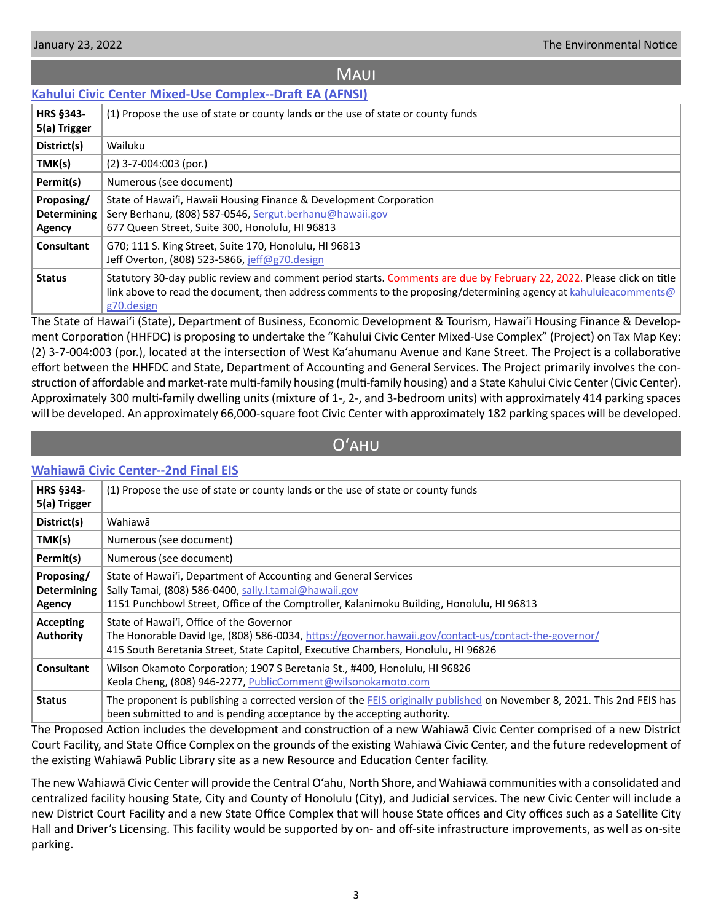## **MAUI**

# <span id="page-2-0"></span>**[Kahului Civic Center Mixed-Use Complex--Draft EA \(AFNSI\)](http://oeqc2.doh.hawaii.gov/Doc_Library/2022-01-23-MA-DEA-Kahului-Civic-Center-Mixed-Use-Complex.pdf)**

| <b>HRS §343-</b><br>5(a) Trigger           | (1) Propose the use of state or county lands or the use of state or county funds                                                                                                                                                                         |
|--------------------------------------------|----------------------------------------------------------------------------------------------------------------------------------------------------------------------------------------------------------------------------------------------------------|
| District(s)                                | Wailuku                                                                                                                                                                                                                                                  |
| TMK(s)                                     | $(2)$ 3-7-004:003 (por.)                                                                                                                                                                                                                                 |
| Permit(s)                                  | Numerous (see document)                                                                                                                                                                                                                                  |
| Proposing/<br><b>Determining</b><br>Agency | State of Hawai'i, Hawaii Housing Finance & Development Corporation<br>Sery Berhanu, (808) 587-0546, Sergut.berhanu@hawaii.gov<br>677 Queen Street, Suite 300, Honolulu, HI 96813                                                                         |
| <b>Consultant</b>                          | G70; 111 S. King Street, Suite 170, Honolulu, HI 96813<br>Jeff Overton, (808) 523-5866, jeff@g70.design                                                                                                                                                  |
| <b>Status</b>                              | Statutory 30-day public review and comment period starts. Comments are due by February 22, 2022. Please click on title<br>link above to read the document, then address comments to the proposing/determining agency at kahuluieacomments@<br>g70.design |

The State of Hawai'i (State), Department of Business, Economic Development & Tourism, Hawaiʹi Housing Finance & Development Corporation (HHFDC) is proposing to undertake the "Kahului Civic Center Mixed-Use Complex" (Project) on Tax Map Key: (2) 3-7-004:003 (por.), located at the intersection of West Ka'ahumanu Avenue and Kane Street. The Project is a collaborative effort between the HHFDC and State, Department of Accounting and General Services. The Project primarily involves the construction of affordable and market-rate multi-family housing (multi-family housing) and a State Kahului Civic Center (Civic Center). Approximately 300 multi-family dwelling units (mixture of 1-, 2-, and 3-bedroom units) with approximately 414 parking spaces will be developed. An approximately 66,000-square foot Civic Center with approximately 182 parking spaces will be developed.

# Oʻahu

## **[Wahiawā Civic Center--2nd Final EIS](http://oeqc2.doh.hawaii.gov/Doc_Library/2022-01-23-OA-2nd-FEIS-Wahiawa-Civic-Center.pdf)**

| <b>HRS §343-</b><br>5(a) Trigger           | (1) Propose the use of state or county lands or the use of state or county funds                                                                                                                                                       |
|--------------------------------------------|----------------------------------------------------------------------------------------------------------------------------------------------------------------------------------------------------------------------------------------|
| District(s)                                | Wahiawā                                                                                                                                                                                                                                |
| TMK(s)                                     | Numerous (see document)                                                                                                                                                                                                                |
| Permit(s)                                  | Numerous (see document)                                                                                                                                                                                                                |
| Proposing/<br><b>Determining</b><br>Agency | State of Hawai'i, Department of Accounting and General Services<br>Sally Tamai, (808) 586-0400, sally.l.tamai@hawaii.gov<br>1151 Punchbowl Street, Office of the Comptroller, Kalanimoku Building, Honolulu, HI 96813                  |
| Accepting<br><b>Authority</b>              | State of Hawai'i, Office of the Governor<br>The Honorable David Ige, (808) 586-0034, https://governor.hawaii.gov/contact-us/contact-the-governor/<br>415 South Beretania Street, State Capitol, Executive Chambers, Honolulu, HI 96826 |
| <b>Consultant</b>                          | Wilson Okamoto Corporation; 1907 S Beretania St., #400, Honolulu, HI 96826<br>Keola Cheng, (808) 946-2277, PublicComment@wilsonokamoto.com                                                                                             |
| <b>Status</b>                              | The proponent is publishing a corrected version of the FEIS originally published on November 8, 2021. This 2nd FEIS has<br>been submitted to and is pending acceptance by the accepting authority.                                     |

The Proposed Action includes the development and construction of a new Wahiawā Civic Center comprised of a new District Court Facility, and State Office Complex on the grounds of the existing Wahiawā Civic Center, and the future redevelopment of the existing Wahiawā Public Library site as a new Resource and Education Center facility.

The new Wahiawā Civic Center will provide the Central O'ahu, North Shore, and Wahiawā communities with a consolidated and centralized facility housing State, City and County of Honolulu (City), and Judicial services. The new Civic Center will include a new District Court Facility and a new State Office Complex that will house State offices and City offices such as a Satellite City Hall and Driver's Licensing. This facility would be supported by on- and off-site infrastructure improvements, as well as on-site parking.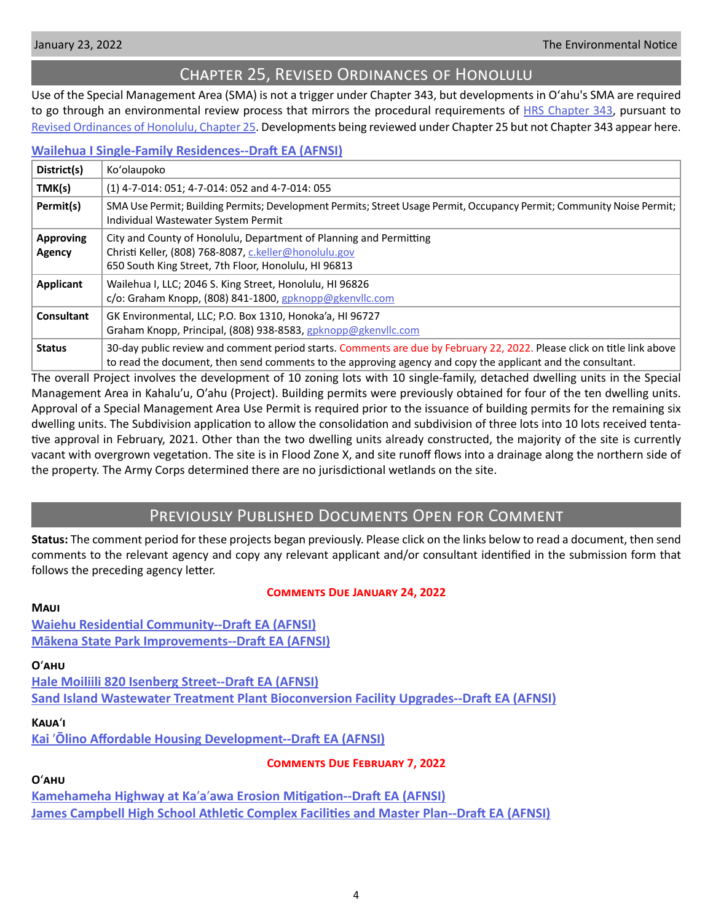<span id="page-3-0"></span>

# Chapter 25, Revised Ordinances of Honolulu

Use of the Special Management Area (SMA) is not a trigger under Chapter 343, but developments in Oʻahu's SMA are required to go through an environmental review process that mirrors the procedural requirements of [HRS Chapter 343](https://www.capitol.hawaii.gov/hrscurrent/Vol06_Ch0321-0344/HRS0343/HRS_0343-.htm), pursuant to [Revised Ordinances of Honolulu, Chapter 25.](https://www.honolulu.gov/rep/site/ocs/roh/ROH_Chapter_25_article_1_12.pdf) Developments being reviewed under Chapter 25 but not Chapter 343 appear here.

## **[Wailehua I Single-Family Residences--Draft EA \(AFNSI\)](http://oeqc2.doh.hawaii.gov/Other_TEN_Publications/2022-01-23-OA-Chapter-25-DEA-Wailehua-I-Single-Family-Residences.pdf)**

| District(s)                | Ko'olaupoko                                                                                                                                                                                                                            |
|----------------------------|----------------------------------------------------------------------------------------------------------------------------------------------------------------------------------------------------------------------------------------|
| TMK(s)                     | (1) 4-7-014: 051; 4-7-014: 052 and 4-7-014: 055                                                                                                                                                                                        |
| Permit(s)                  | SMA Use Permit; Building Permits; Development Permits; Street Usage Permit, Occupancy Permit; Community Noise Permit;  <br>Individual Wastewater System Permit                                                                         |
| <b>Approving</b><br>Agency | City and County of Honolulu, Department of Planning and Permitting<br>Christi Keller, (808) 768-8087, c.keller@honolulu.gov<br>650 South King Street, 7th Floor, Honolulu, HI 96813                                                    |
| <b>Applicant</b>           | Wailehua I, LLC; 2046 S. King Street, Honolulu, HI 96826<br>c/o: Graham Knopp, (808) 841-1800, gpknopp@gkenvllc.com                                                                                                                    |
| Consultant                 | GK Environmental, LLC; P.O. Box 1310, Honoka'a, HI 96727<br>Graham Knopp, Principal, (808) 938-8583, gpknopp@gkenvllc.com                                                                                                              |
| <b>Status</b>              | 30-day public review and comment period starts. Comments are due by February 22, 2022. Please click on title link above<br>to read the document, then send comments to the approving agency and copy the applicant and the consultant. |

The overall Project involves the development of 10 zoning lots with 10 single-family, detached dwelling units in the Special Management Area in Kahaluʹu, Oʹahu (Project). Building permits were previously obtained for four of the ten dwelling units. Approval of a Special Management Area Use Permit is required prior to the issuance of building permits for the remaining six dwelling units. The Subdivision application to allow the consolidation and subdivision of three lots into 10 lots received tentative approval in February, 2021. Other than the two dwelling units already constructed, the majority of the site is currently vacant with overgrown vegetation. The site is in Flood Zone X, and site runoff flows into a drainage along the northern side of the property. The Army Corps determined there are no jurisdictional wetlands on the site.

# Previously Published Documents Open for Comment

**Status:** The comment period for these projects began previously. Please click on the links below to read a document, then send comments to the relevant agency and copy any relevant applicant and/or consultant identified in the submission form that follows the preceding agency letter.

## **Comments Due January 24, 2022**

**[Waiehu Residential Community--Draft EA \(AFNSI\)](http://oeqc2.doh.hawaii.gov/Doc_Library/2021-12-23-MA-DEA-Waiehu-Residential-Community.pdf) [Mākena State Park Improvements--Draft EA \(AFNSI\)](http://oeqc2.doh.hawaii.gov/Doc_Library/2021-12-23-MA-DEA-Makena-State-Park-Improvements.pdf)**

## **O**ʻ**ahu**

**[Hale Moiliili 820 Isenberg Street--Draft EA \(AFNSI\)](http://oeqc2.doh.hawaii.gov/Doc_Library/2021-12-23-OA-DEA-Hale-Moiliili-820-Isenberg-Street.pdf) [Sand Island Wastewater Treatment Plant Bioconversion Facility Upgrades--Draft EA \(AFNSI\)](http://oeqc2.doh.hawaii.gov/Doc_Library/2021-12-23-OA-DEA-Sand-Island-WWTP-Bioconversion-Facility-Upgrades.pdf)**

## **Kaua**ʻ**i**

**Kai** ʹ**[Ōlino Affordable Housing Development--Draft EA \(AFNSI\)](http://oeqc2.doh.hawaii.gov/Doc_Library/2021-12-23-KA-DEA-Kai-Olino-Affordable-Housing-Development.pdf)**

**Comments Due February 7, 2022**

## **O**ʻ**ahu**

**Kamehameha Highway at Ka**ʹ**a**ʹ**[awa Erosion Mitigation--Draft EA \(AFNSI\)](http://oeqc2.doh.hawaii.gov/Doc_Library/2022-01-08-OA-DEA-Kamehameha-Highway-at-Kaaawa-Erosion-Mitigation.pdf) [James Campbell High School Athletic Complex Facilities and Master Plan--Draft EA \(AFNSI\)](http://oeqc2.doh.hawaii.gov/Doc_Library/2022-01-08-OA-DEA-James-Campbell-High-School-Athletic-Complex-Facilities-and-Master-Plan.pdf)**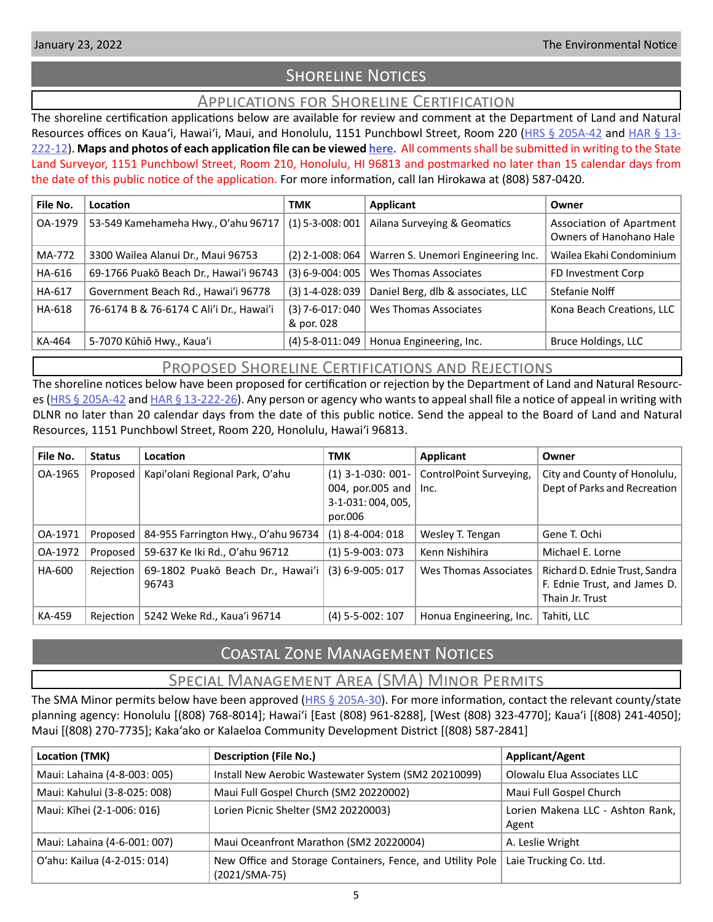# **SHORELINE NOTICES**

# Applications for Shoreline Certification

<span id="page-4-0"></span>The shoreline certification applications below are available for review and comment at the Department of Land and Natural Resources offices on Kaua'i, Hawai'i, Maui, and Honolulu, 1151 Punchbowl Street, Room 220 ([HRS § 205A-42](https://www.capitol.hawaii.gov/hrscurrent/Vol04_Ch0201-0257/HRS0205A/HRS_0205A-0042.htm) and [HAR § 13-](https://dlnr.hawaii.gov/ld/files/2013/07/Ch13-222-Amend-Compil-Stand-Rev1.pdf) [222-12](https://dlnr.hawaii.gov/ld/files/2013/07/Ch13-222-Amend-Compil-Stand-Rev1.pdf)). **Maps and photos of each application file can be viewed [here](https://ags.hawaii.gov/survey/shoreline/#apps)**. All comments shall be submitted in writing to the State Land Surveyor, 1151 Punchbowl Street, Room 210, Honolulu, HI 96813 and postmarked no later than 15 calendar days from the date of this public notice of the application. For more information, call Ian Hirokawa at (808) 587-0420.

| File No. | Location                                 | <b>TMK</b>                       | Applicant                          | Owner                                               |
|----------|------------------------------------------|----------------------------------|------------------------------------|-----------------------------------------------------|
| OA-1979  | 53-549 Kamehameha Hwy., O'ahu 96717      | $(1)$ 5-3-008: 001               | Ailana Surveying & Geomatics       | Association of Apartment<br>Owners of Hanohano Hale |
| MA-772   | 3300 Wailea Alanui Dr., Maui 96753       | $(2)$ 2-1-008: 064               | Warren S. Unemori Engineering Inc. | Wailea Ekahi Condominium                            |
| HA-616   | 69-1766 Puakō Beach Dr., Hawai'i 96743   | $(3) 6 - 9 - 004:005$            | Wes Thomas Associates              | FD Investment Corp                                  |
| HA-617   | Government Beach Rd., Hawai'i 96778      | $(3)$ 1-4-028: 039               | Daniel Berg, dlb & associates, LLC | Stefanie Nolff                                      |
| HA-618   | 76-6174 B & 76-6174 C Ali'i Dr., Hawai'i | $(3)$ 7-6-017: 040<br>& por. 028 | Wes Thomas Associates              | Kona Beach Creations, LLC                           |
| KA-464   | 5-7070 Kūhiō Hwy., Kaua'i                | $(4)$ 5-8-011:049                | Honua Engineering, Inc.            | Bruce Holdings, LLC                                 |

# Proposed Shoreline Certifications and Rejections

The shoreline notices below have been proposed for certification or rejection by the Department of Land and Natural Resourc-es [\(HRS § 205A-42](http://HRS § 205A-42) and [HAR § 13-222-26\)](https://dlnr.hawaii.gov/ld/files/2013/07/Ch13-222-Amend-Compil-Stand-Rev1.pdf). Any person or agency who wants to appeal shall file a notice of appeal in writing with DLNR no later than 20 calendar days from the date of this public notice. Send the appeal to the Board of Land and Natural Resources, 1151 Punchbowl Street, Room 220, Honolulu, Hawai'i 96813.

| File No. | <b>Status</b> | Location                                  | <b>TMK</b>                                                             | Applicant                       | Owner                                                                             |
|----------|---------------|-------------------------------------------|------------------------------------------------------------------------|---------------------------------|-----------------------------------------------------------------------------------|
| OA-1965  | Proposed      | Kapi'olani Regional Park, O'ahu           | $(1)$ 3-1-030: 001-<br>004, por.005 and<br>3-1-031:004,005,<br>por.006 | ControlPoint Surveying,<br>Inc. | City and County of Honolulu,<br>Dept of Parks and Recreation                      |
| OA-1971  | Proposed      | 84-955 Farrington Hwy., O'ahu 96734       | $(1)$ 8-4-004: 018                                                     | Wesley T. Tengan                | Gene T. Ochi                                                                      |
| OA-1972  | Proposed      | 59-637 Ke Iki Rd., O'ahu 96712            | $(1)$ 5-9-003: 073                                                     | Kenn Nishihira                  | Michael E. Lorne                                                                  |
| HA-600   | Rejection     | 69-1802 Puakō Beach Dr., Hawai'i<br>96743 | $(3) 6 - 9 - 005: 017$                                                 | Wes Thomas Associates           | Richard D. Ednie Trust, Sandra<br>F. Ednie Trust, and James D.<br>Thain Jr. Trust |
| KA-459   | Rejection     | 5242 Weke Rd., Kaua'i 96714               | $(4)$ 5-5-002: 107                                                     | Honua Engineering, Inc.         | Tahiti, LLC                                                                       |

# Coastal Zone Management Notices

# Special Management Area (SMA) Minor Permits

The SMA Minor permits below have been approved [\(HRS § 205A-30\)](https://www.capitol.hawaii.gov/hrscurrent/Vol04_Ch0201-0257/HRS0205A/HRS_0205A-0030.htm). For more information, contact the relevant county/state planning agency: Honolulu [(808) 768-8014]; Hawaiʻi [East (808) 961-8288], [West (808) 323-4770]; Kauaʻi [(808) 241-4050]; Maui [(808) 270-7735]; Kakaʻako or Kalaeloa Community Development District [(808) 587-2841]

| Location (TMK)               | <b>Description (File No.)</b>                                                 | <b>Applicant/Agent</b>                    |
|------------------------------|-------------------------------------------------------------------------------|-------------------------------------------|
| Maui: Lahaina (4-8-003: 005) | Install New Aerobic Wastewater System (SM2 20210099)                          | Olowalu Elua Associates LLC               |
| Maui: Kahului (3-8-025: 008) | Maui Full Gospel Church (SM2 20220002)                                        | Maui Full Gospel Church                   |
| Maui: Kīhei (2-1-006: 016)   | Lorien Picnic Shelter (SM2 20220003)                                          | Lorien Makena LLC - Ashton Rank,<br>Agent |
| Maui: Lahaina (4-6-001: 007) | Maui Oceanfront Marathon (SM2 20220004)                                       | A. Leslie Wright                          |
| O'ahu: Kailua (4-2-015: 014) | New Office and Storage Containers, Fence, and Utility Pole<br>$(2021/SMA-75)$ | Laie Trucking Co. Ltd.                    |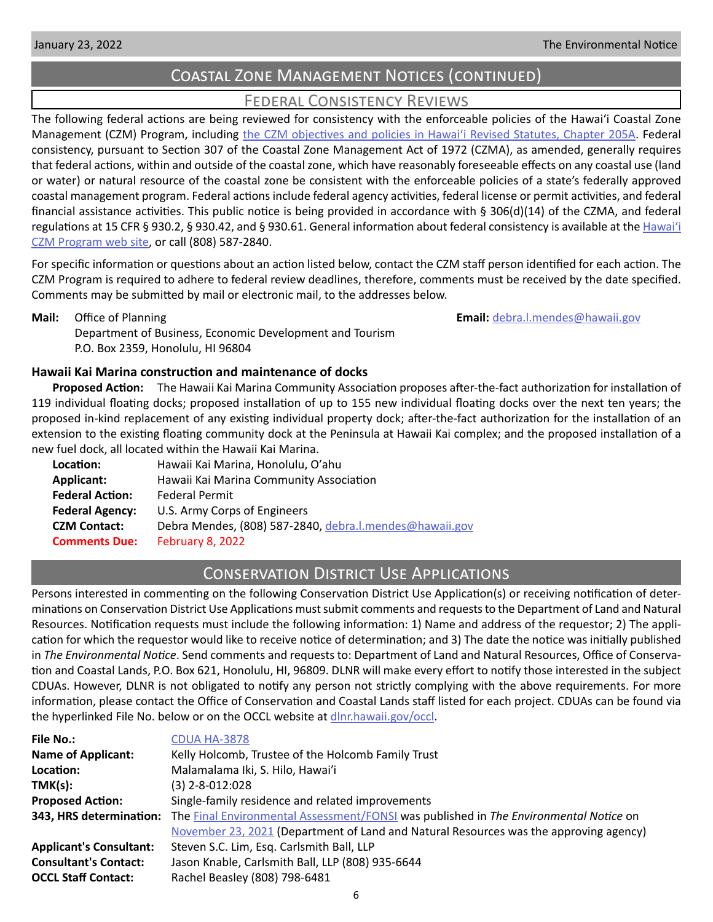# Coastal Zone Management Notices (continued)

# Federal Consistency Reviews

<span id="page-5-0"></span>The following federal actions are being reviewed for consistency with the enforceable policies of the Hawaiʻi Coastal Zone Management (CZM) Program, including the CZM objectives and policies in Hawai'i Revised Statutes, Chapter 205A. Federal consistency, pursuant to Section 307 of the Coastal Zone Management Act of 1972 (CZMA), as amended, generally requires that federal actions, within and outside of the coastal zone, which have reasonably foreseeable effects on any coastal use (land or water) or natural resource of the coastal zone be consistent with the enforceable policies of a state's federally approved coastal management program. Federal actions include federal agency activities, federal license or permit activities, and federal financial assistance activities. This public notice is being provided in accordance with § 306(d)(14) of the CZMA, and federal regulations at 15 CFR § 930.2, § 930.42, and § 930.61. General information about federal consistency is available at the [Hawai](http://planning.hawaii.gov/czm/federal-consistency/)ʻi [CZM Program web site,](http://planning.hawaii.gov/czm/federal-consistency/) or call (808) 587-2840.

For specific information or questions about an action listed below, contact the CZM staff person identified for each action. The CZM Program is required to adhere to federal review deadlines, therefore, comments must be received by the date specified. Comments may be submitted by mail or electronic mail, to the addresses below.

**Mail:** Office of Planning **Email:** [debra.l.mendes@hawaii.gov](mailto:debra.l.mendes%40hawaii.gov?subject=) Department of Business, Economic Development and Tourism P.O. Box 2359, Honolulu, HI 96804

# **Hawaii Kai Marina construction and maintenance of docks**

**Proposed Action:** The Hawaii Kai Marina Community Association proposes after-the-fact authorization for installation of 119 individual floating docks; proposed installation of up to 155 new individual floating docks over the next ten years; the proposed in-kind replacement of any existing individual property dock; after-the-fact authorization for the installation of an extension to the existing floating community dock at the Peninsula at Hawaii Kai complex; and the proposed installation of a new fuel dock, all located within the Hawaii Kai Marina.

| Hawaii Kai Marina, Honolulu, O'ahu                      |  |
|---------------------------------------------------------|--|
| Hawaii Kai Marina Community Association                 |  |
| <b>Federal Permit</b>                                   |  |
| U.S. Army Corps of Engineers                            |  |
| Debra Mendes, (808) 587-2840, debra.l.mendes@hawaii.gov |  |
| February 8, 2022                                        |  |
|                                                         |  |

# Conservation District Use Applications

Persons interested in commenting on the following Conservation District Use Application(s) or receiving notification of determinations on Conservation District Use Applications must submit comments and requests to the Department of Land and Natural Resources. Notification requests must include the following information: 1) Name and address of the requestor; 2) The application for which the requestor would like to receive notice of determination; and 3) The date the notice was initially published in *The Environmental Notice*. Send comments and requests to: Department of Land and Natural Resources, Office of Conservation and Coastal Lands, P.O. Box 621, Honolulu, HI, 96809. DLNR will make every effort to notify those interested in the subject CDUAs. However, DLNR is not obligated to notify any person not strictly complying with the above requirements. For more information, please contact the Office of Conservation and Coastal Lands staff listed for each project. CDUAs can be found via the hyperlinked File No. below or on the OCCL website at [dlnr.hawaii.gov/occl.](http://dlnr.hawaii.gov/occl)

| <b>File No.:</b>               | CDUA HA-3878                                                                          |  |  |
|--------------------------------|---------------------------------------------------------------------------------------|--|--|
| <b>Name of Applicant:</b>      | Kelly Holcomb, Trustee of the Holcomb Family Trust                                    |  |  |
| Location:                      | Malamalama Iki, S. Hilo, Hawai'i                                                      |  |  |
| TMK(s):                        | $(3)$ 2-8-012:028                                                                     |  |  |
| <b>Proposed Action:</b>        | Single-family residence and related improvements                                      |  |  |
| 343, HRS determination:        | The Final Environmental Assessment/FONSI was published in The Environmental Notice on |  |  |
|                                | November 23, 2021 (Department of Land and Natural Resources was the approving agency) |  |  |
| <b>Applicant's Consultant:</b> | Steven S.C. Lim, Esq. Carlsmith Ball, LLP                                             |  |  |
| <b>Consultant's Contact:</b>   | Jason Knable, Carlsmith Ball, LLP (808) 935-6644                                      |  |  |
| <b>OCCL Staff Contact:</b>     | Rachel Beasley (808) 798-6481                                                         |  |  |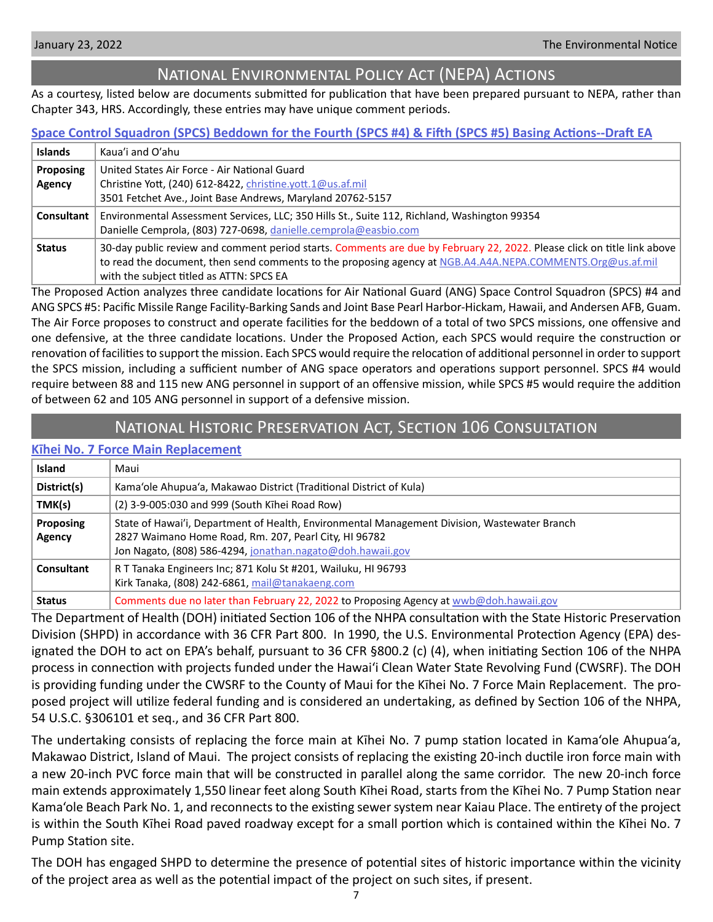<span id="page-6-0"></span>

# National Environmental Policy Act (NEPA) Actions

As a courtesy, listed below are documents submitted for publication that have been prepared pursuant to NEPA, rather than Chapter 343, HRS. Accordingly, these entries may have unique comment periods.

# **[Space Control Squadron \(SPCS\) Beddown for the Fourth \(SPCS #4\) & Fifth \(SPCS #5\) Basing Actions--Draft EA](http://oeqc2.doh.hawaii.gov/Other_TEN_Publications/2022-01-23-ST-NEPA-DEA-Air-National-Guard-SPCS-Beddown-4-and-5.pdf)**

| <b>Islands</b> | Kaua'i and O'ahu                                                                                                                                       |  |
|----------------|--------------------------------------------------------------------------------------------------------------------------------------------------------|--|
| Proposing      | United States Air Force - Air National Guard                                                                                                           |  |
| Agency         | Christine Yott, (240) 612-8422, christine.yott.1@us.af.mil                                                                                             |  |
|                | 3501 Fetchet Ave., Joint Base Andrews, Maryland 20762-5157                                                                                             |  |
| Consultant     | Environmental Assessment Services, LLC; 350 Hills St., Suite 112, Richland, Washington 99354                                                           |  |
|                | Danielle Cemprola, (803) 727-0698, danielle.cemprola@easbio.com                                                                                        |  |
| <b>Status</b>  | 30-day public review and comment period starts. Comments are due by February 22, 2022. Please click on title link above                                |  |
|                | to read the document, then send comments to the proposing agency at NGB.A4.A4A.NEPA.COMMENTS.Org@us.af.mil<br>with the subject titled as ATTN: SPCS EA |  |

The Proposed Action analyzes three candidate locations for Air National Guard (ANG) Space Control Squadron (SPCS) #4 and ANG SPCS #5: Pacific Missile Range Facility-Barking Sands and Joint Base Pearl Harbor-Hickam, Hawaii, and Andersen AFB, Guam. The Air Force proposes to construct and operate facilities for the beddown of a total of two SPCS missions, one offensive and one defensive, at the three candidate locations. Under the Proposed Action, each SPCS would require the construction or renovation of facilities to support the mission. Each SPCS would require the relocation of additional personnel in order to support the SPCS mission, including a sufficient number of ANG space operators and operations support personnel. SPCS #4 would require between 88 and 115 new ANG personnel in support of an offensive mission, while SPCS #5 would require the addition of between 62 and 105 ANG personnel in support of a defensive mission.

# National Historic Preservation Act, Section 106 Consultation

# **K[īhei No. 7 Force Main Replacement](http://oeqc2.doh.hawaii.gov/Other_TEN_Publications/2022-01-23-MA-Section-106-Kihei-Number-7-Force-Main-Replacement.pdf)**

| <b>Island</b>              | Maui                                                                                                                                                                                                                |  |
|----------------------------|---------------------------------------------------------------------------------------------------------------------------------------------------------------------------------------------------------------------|--|
| District(s)                | Kama'ole Ahupua'a, Makawao District (Traditional District of Kula)                                                                                                                                                  |  |
| TMK(s)                     | (2) 3-9-005:030 and 999 (South Kihei Road Row)                                                                                                                                                                      |  |
| <b>Proposing</b><br>Agency | State of Hawai'i, Department of Health, Environmental Management Division, Wastewater Branch<br>2827 Waimano Home Road, Rm. 207, Pearl City, HI 96782<br>Jon Nagato, (808) 586-4294, jonathan.nagato@doh.hawaii.gov |  |
| Consultant                 | R T Tanaka Engineers Inc; 871 Kolu St #201, Wailuku, HI 96793<br>Kirk Tanaka, (808) 242-6861, mail@tanakaeng.com                                                                                                    |  |
| <b>Status</b>              | Comments due no later than February 22, 2022 to Proposing Agency at wwb@doh.hawaii.gov                                                                                                                              |  |

The Department of Health (DOH) initiated Section 106 of the NHPA consultation with the State Historic Preservation Division (SHPD) in accordance with 36 CFR Part 800. In 1990, the U.S. Environmental Protection Agency (EPA) designated the DOH to act on EPA's behalf, pursuant to 36 CFR §800.2 (c) (4), when initiating Section 106 of the NHPA process in connection with projects funded under the Hawai'i Clean Water State Revolving Fund (CWSRF). The DOH is providing funding under the CWSRF to the County of Maui for the Kīhei No. 7 Force Main Replacement. The proposed project will utilize federal funding and is considered an undertaking, as defined by Section 106 of the NHPA, 54 U.S.C. §306101 et seq., and 36 CFR Part 800.

The undertaking consists of replacing the force main at Kīhei No. 7 pump station located in Kama'ole Ahupua'a, Makawao District, Island of Maui. The project consists of replacing the existing 20-inch ductile iron force main with a new 20-inch PVC force main that will be constructed in parallel along the same corridor. The new 20-inch force main extends approximately 1,550 linear feet along South Kīhei Road, starts from the Kīhei No. 7 Pump Station near Kama'ole Beach Park No. 1, and reconnects to the existing sewer system near Kaiau Place. The entirety of the project is within the South Kīhei Road paved roadway except for a small portion which is contained within the Kīhei No. 7 Pump Station site.

The DOH has engaged SHPD to determine the presence of potential sites of historic importance within the vicinity of the project area as well as the potential impact of the project on such sites, if present.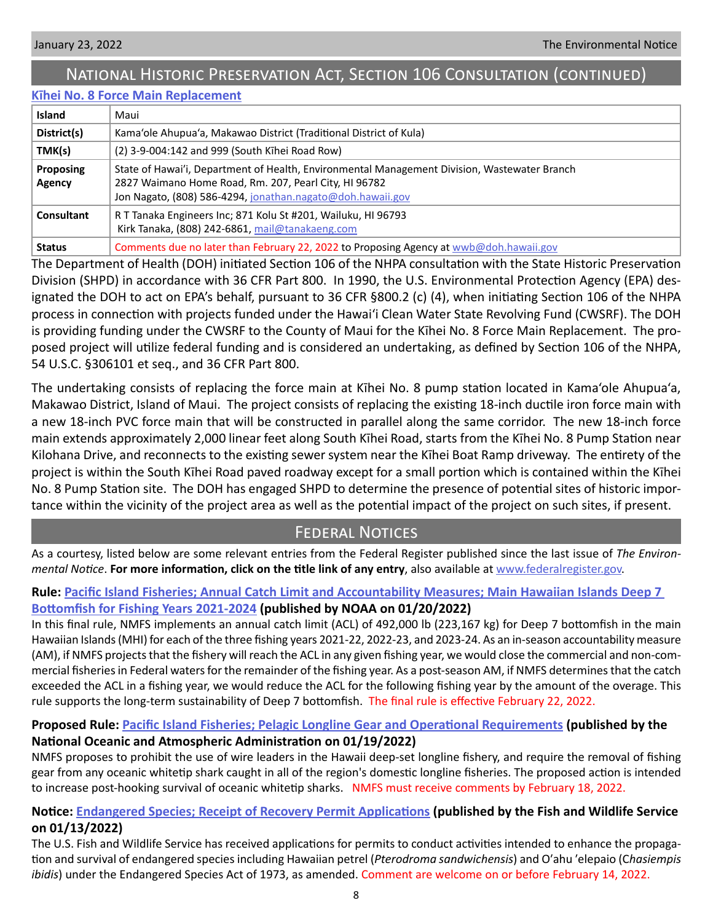# <span id="page-7-0"></span>National Historic Preservation Act, Section 106 Consultation (continued)

# **K[īhei No. 8 Force Main Replacement](http://oeqc2.doh.hawaii.gov/Other_TEN_Publications/2022-01-23-MA-Section-106-Kihei-Number-8-Force-Main-Replacement.pdf)**

| <b>Island</b>              | Maui                                                                                                                                                                                                                |
|----------------------------|---------------------------------------------------------------------------------------------------------------------------------------------------------------------------------------------------------------------|
| District(s)                | Kama'ole Ahupua'a, Makawao District (Traditional District of Kula)                                                                                                                                                  |
| TMK(s)                     | (2) 3-9-004:142 and 999 (South Kihei Road Row)                                                                                                                                                                      |
| <b>Proposing</b><br>Agency | State of Hawai'i, Department of Health, Environmental Management Division, Wastewater Branch<br>2827 Waimano Home Road, Rm. 207, Pearl City, HI 96782<br>Jon Nagato, (808) 586-4294, jonathan.nagato@doh.hawaii.gov |
| Consultant                 | R T Tanaka Engineers Inc; 871 Kolu St #201, Wailuku, HI 96793<br>Kirk Tanaka, (808) 242-6861, mail@tanakaeng.com                                                                                                    |
| <b>Status</b>              | Comments due no later than February 22, 2022 to Proposing Agency at wwb@doh.hawaii.gov                                                                                                                              |

The Department of Health (DOH) initiated Section 106 of the NHPA consultation with the State Historic Preservation Division (SHPD) in accordance with 36 CFR Part 800. In 1990, the U.S. Environmental Protection Agency (EPA) designated the DOH to act on EPA's behalf, pursuant to 36 CFR §800.2 (c) (4), when initiating Section 106 of the NHPA process in connection with projects funded under the Hawai'i Clean Water State Revolving Fund (CWSRF). The DOH is providing funding under the CWSRF to the County of Maui for the Kīhei No. 8 Force Main Replacement. The proposed project will utilize federal funding and is considered an undertaking, as defined by Section 106 of the NHPA, 54 U.S.C. §306101 et seq., and 36 CFR Part 800.

The undertaking consists of replacing the force main at Kīhei No. 8 pump station located in Kama'ole Ahupua'a, Makawao District, Island of Maui. The project consists of replacing the existing 18-inch ductile iron force main with a new 18-inch PVC force main that will be constructed in parallel along the same corridor. The new 18-inch force main extends approximately 2,000 linear feet along South Kīhei Road, starts from the Kīhei No. 8 Pump Station near Kilohana Drive, and reconnects to the existing sewer system near the Kīhei Boat Ramp driveway. The entirety of the project is within the South Kīhei Road paved roadway except for a small portion which is contained within the Kīhei No. 8 Pump Station site. The DOH has engaged SHPD to determine the presence of potential sites of historic importance within the vicinity of the project area as well as the potential impact of the project on such sites, if present.

# Federal Notices

As a courtesy, listed below are some relevant entries from the Federal Register published since the last issue of *The Environmental Notice*. **For more information, click on the title link of any entry**, also available at [www.federalregister.gov.](http://www.federalregister.gov)

# **Rule: [Pacific Island Fisheries; Annual Catch Limit and Accountability Measures; Main Hawaiian Islands Deep 7](https://www.federalregister.gov/documents/2022/01/20/2022-00995/pacific-island-fisheries-annual-catch-limit-and-accountability-measures-main-hawaiian-islands-deep-7)**

# **[Bottomfish for Fishing Years 2021-2024](https://www.federalregister.gov/documents/2022/01/20/2022-00995/pacific-island-fisheries-annual-catch-limit-and-accountability-measures-main-hawaiian-islands-deep-7) (published by NOAA on 01/20/2022)**

In this final rule, NMFS implements an annual catch limit (ACL) of 492,000 lb (223,167 kg) for Deep 7 bottomfish in the main Hawaiian Islands (MHI) for each of the three fishing years 2021-22, 2022-23, and 2023-24. As an in-season accountability measure (AM), if NMFS projects that the fishery will reach the ACL in any given fishing year, we would close the commercial and non-commercial fisheries in Federal waters for the remainder of the fishing year. As a post-season AM, if NMFS determines that the catch exceeded the ACL in a fishing year, we would reduce the ACL for the following fishing year by the amount of the overage. This rule supports the long-term sustainability of Deep 7 bottomfish. The final rule is effective February 22, 2022.

# **Proposed Rule: [Pacific Island Fisheries; Pelagic Longline Gear and Operational Requirements](https://www.federalregister.gov/documents/2022/01/19/2022-00910/pacific-island-fisheries-pelagic-longline-gear-and-operational-requirements) (published by the**

# **National Oceanic and Atmospheric Administration on 01/19/2022)**

NMFS proposes to prohibit the use of wire leaders in the Hawaii deep-set longline fishery, and require the removal of fishing gear from any oceanic whitetip shark caught in all of the region's domestic longline fisheries. The proposed action is intended to increase post-hooking survival of oceanic whitetip sharks. NMFS must receive comments by February 18, 2022.

# **Notice: [Endangered Species; Receipt of Recovery Permit Applications](https://www.federalregister.gov/documents/2022/01/13/2022-00622/endangered-species-receipt-of-recovery-permit-applications) (published by the Fish and Wildlife Service on 01/13/2022)**

The U.S. Fish and Wildlife Service has received applications for permits to conduct activities intended to enhance the propagation and survival of endangered species including Hawaiian petrel (*Pterodroma sandwichensis*) and Oʹahu ʹelepaio (C*hasiempis ibidis*) under the Endangered Species Act of 1973, as amended. Comment are welcome on or before February 14, 2022.